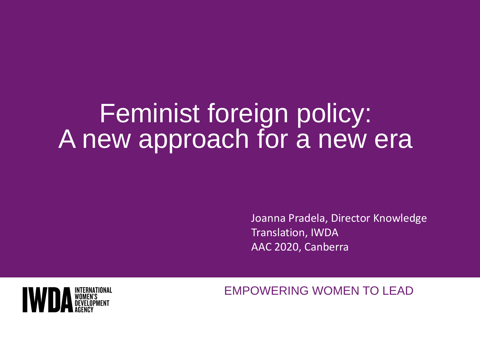# Feminist foreign policy: A new approach for a new era

Joanna Pradela, Director Knowledge Translation, IWDA AAC 2020, Canberra



EMPOWERING WOMEN TO LEAD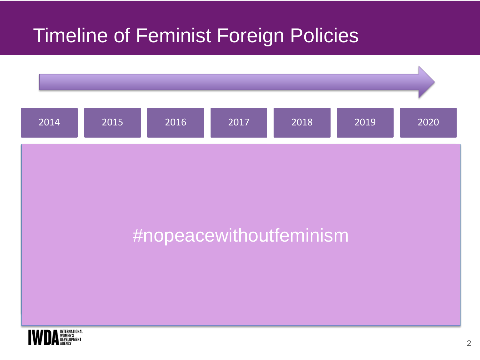### Timeline of Feminist Foreign Policies

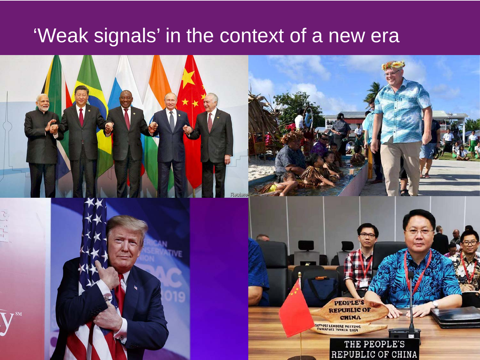### 'Weak signals' in the context of a new era

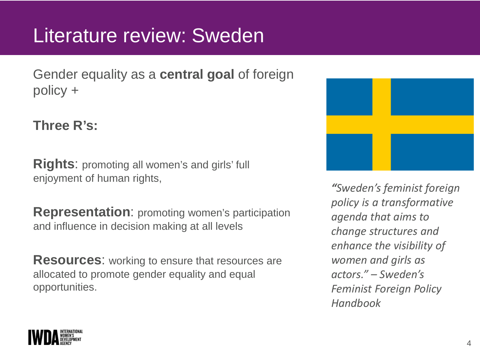### Literature review: Sweden

Gender equality as a **central goal** of foreign policy +

#### **Three R's:**

**Rights**: promoting all women's and girls' full enjoyment of human rights,

**Representation**: promoting women's participation and influence in decision making at all levels

**Resources**: working to ensure that resources are allocated to promote gender equality and equal opportunities.



*"Sweden's feminist foreign policy is a transformative agenda that aims to change structures and enhance the visibility of women and girls as actors." – Sweden's Feminist Foreign Policy Handbook*

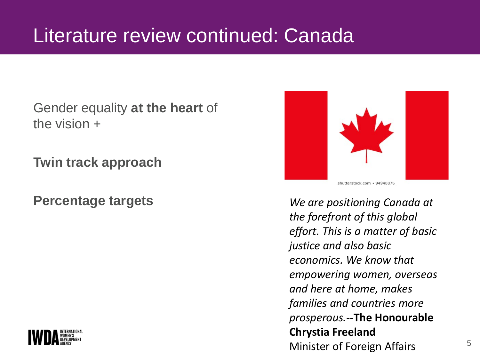### Literature review continued: Canada

Gender equality **at the heart** of the vision +

**Twin track approach**



**Percentage targets** *We are positioning Canada at the forefront of this global effort. This is a matter of basic justice and also basic economics. We know that empowering women, overseas and here at home, makes families and countries more prosperous.--***The Honourable Chrystia Freeland** Minister of Foreign Affairs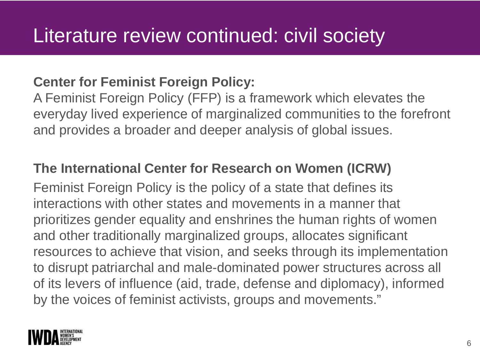#### **Center for Feminist Foreign Policy:**

A Feminist Foreign Policy (FFP) is a framework which elevates the everyday lived experience of marginalized communities to the forefront and provides a broader and deeper analysis of global issues.

#### **The International Center for Research on Women (ICRW)**

Feminist Foreign Policy is the policy of a state that defines its interactions with other states and movements in a manner that prioritizes gender equality and enshrines the human rights of women and other traditionally marginalized groups, allocates significant resources to achieve that vision, and seeks through its implementation to disrupt patriarchal and male-dominated power structures across all of its levers of influence (aid, trade, defense and diplomacy), informed by the voices of feminist activists, groups and movements."

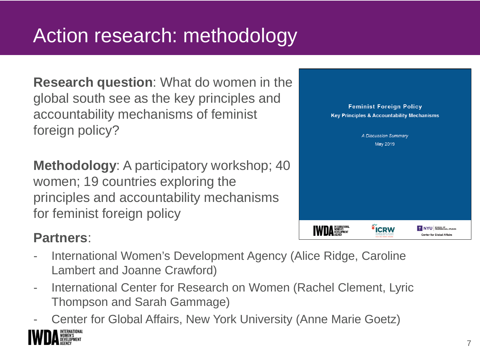### Action research: methodology

**Research question**: What do women in the global south see as the key principles and accountability mechanisms of feminist foreign policy?

**Methodology**: A participatory workshop; 40 women; 19 countries exploring the principles and accountability mechanisms for feminist foreign policy

#### **Partners**:

- International Women's Development Agency (Alice Ridge, Caroline Lambert and Joanne Crawford)
- International Center for Research on Women (Rachel Clement, Lyric Thompson and Sarah Gammage)
- Center for Global Affairs, New York University (Anne Marie Goetz)

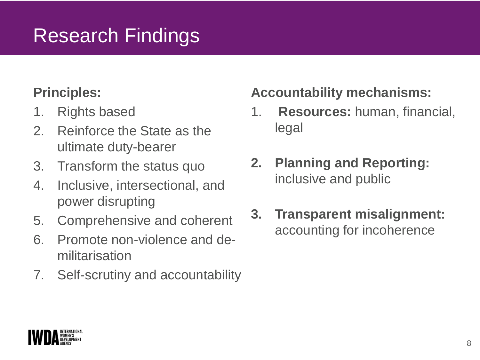### Research Findings

#### **Principles:**

- 1. Rights based
- 2. Reinforce the State as the ultimate duty-bearer
- 3. Transform the status quo
- 4. Inclusive, intersectional, and power disrupting
- 5. Comprehensive and coherent
- 6. Promote non-violence and demilitarisation
- 7. Self-scrutiny and accountability

#### **Accountability mechanisms:**

- 1. **Resources:** human, financial, legal
- **2. Planning and Reporting:**  inclusive and public
- **3. Transparent misalignment:**  accounting for incoherence

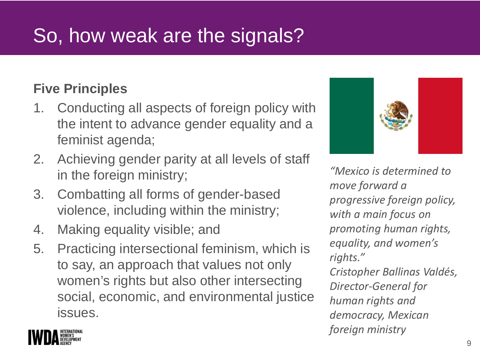## So, how weak are the signals?

#### **Five Principles**

- 1. Conducting all aspects of foreign policy with the intent to advance gender equality and a feminist agenda;
- 2. Achieving gender parity at all levels of staff in the foreign ministry;
- 3. Combatting all forms of gender-based violence, including within the ministry;
- 4. Making equality visible; and
- 5. Practicing intersectional feminism, which is to say, an approach that values not only women's rights but also other intersecting social, economic, and environmental justice issues.



*"Mexico is determined to move forward a progressive foreign policy, with a main focus on promoting human rights, equality, and women's rights." Cristopher Ballinas Valdés, Director-General for human rights and democracy, Mexican foreign ministry*